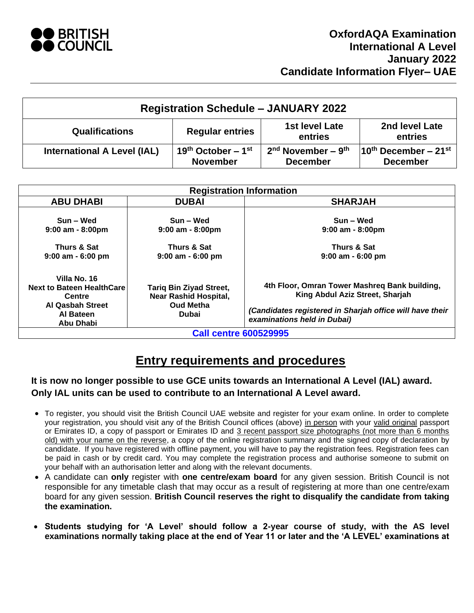

| <b>Registration Schedule - JANUARY 2022</b> |                                            |                                                     |                                                     |  |
|---------------------------------------------|--------------------------------------------|-----------------------------------------------------|-----------------------------------------------------|--|
| <b>Qualifications</b>                       | <b>Regular entries</b>                     | 1st level Late<br>entries                           | 2nd level Late<br>entries                           |  |
| <b>International A Level (IAL)</b>          | 19th October – $1^{st}$<br><b>November</b> | $2nd$ November – 9 <sup>th</sup><br><b>December</b> | $10^{\text{th}}$ December – 21st<br><b>December</b> |  |

| <b>Registration Information</b>                                                                                        |                                                                                                    |                                                                                                                                                                             |  |  |
|------------------------------------------------------------------------------------------------------------------------|----------------------------------------------------------------------------------------------------|-----------------------------------------------------------------------------------------------------------------------------------------------------------------------------|--|--|
| <b>ABU DHABI</b>                                                                                                       | <b>DUBAI</b>                                                                                       | <b>SHARJAH</b>                                                                                                                                                              |  |  |
| Sun – Wed<br>$9:00$ am - 8:00pm<br>Thurs & Sat<br>$9:00$ am - 6:00 pm                                                  | Sun – Wed<br>$9:00$ am - 8:00pm<br>Thurs & Sat<br>$9:00$ am - 6:00 pm                              | Sun – Wed<br>$9:00$ am - 8:00pm<br>Thurs & Sat<br>$9:00$ am - 6:00 pm                                                                                                       |  |  |
| Villa No. 16<br><b>Next to Bateen HealthCare</b><br><b>Centre</b><br><b>Al Qasbah Street</b><br>Al Bateen<br>Abu Dhabi | <b>Tariq Bin Ziyad Street,</b><br><b>Near Rashid Hospital,</b><br><b>Oud Metha</b><br><b>Dubai</b> | 4th Floor, Omran Tower Mashreg Bank building,<br>King Abdul Aziz Street, Sharjah<br>(Candidates registered in Sharjah office will have their<br>examinations held in Dubai) |  |  |
| <b>Call centre 600529995</b>                                                                                           |                                                                                                    |                                                                                                                                                                             |  |  |

# **Entry requirements and procedures**

## **It is now no longer possible to use GCE units towards an International A Level (IAL) award. Only IAL units can be used to contribute to an International A Level award.**

- To register, you should visit the British Council UAE website and register for your exam online. In order to complete your registration, you should visit any of the British Council offices (above) in person with your valid original passport or Emirates ID, a copy of passport or Emirates ID and 3 recent passport size photographs (not more than 6 months old) with your name on the reverse, a copy of the online registration summary and the signed copy of declaration by candidate. If you have registered with offline payment, you will have to pay the registration fees. Registration fees can be paid in cash or by credit card. You may complete the registration process and authorise someone to submit on your behalf with an authorisation letter and along with the relevant documents.
- A candidate can **only** register with **one centre/exam board** for any given session. British Council is not responsible for any timetable clash that may occur as a result of registering at more than one centre/exam board for any given session. **British Council reserves the right to disqualify the candidate from taking the examination.**
- **Students studying for 'A Level' should follow a 2-year course of study, with the AS level examinations normally taking place at the end of Year 11 or later and the 'A LEVEL' examinations at**